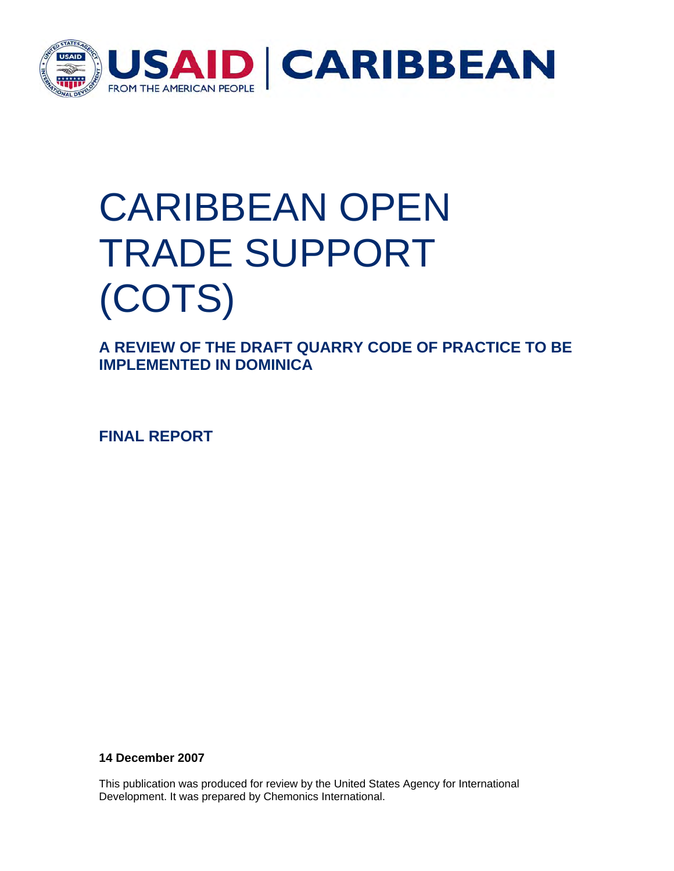

## CARIBBEAN OPEN TRADE SUPPORT (COTS)

**A REVIEW OF THE DRAFT QUARRY CODE OF PRACTICE TO BE IMPLEMENTED IN DOMINICA** 

**FINAL REPORT** 

**14 December 2007** 

This publication was produced for review by the United States Agency for International Development. It was prepared by Chemonics International.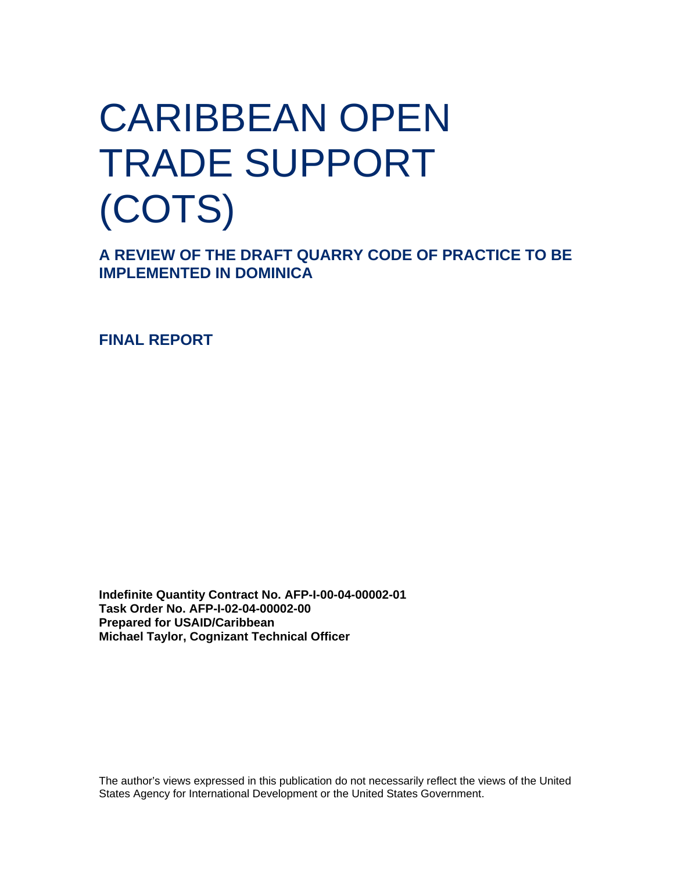## CARIBBEAN OPEN TRADE SUPPORT (COTS)

**A REVIEW OF THE DRAFT QUARRY CODE OF PRACTICE TO BE IMPLEMENTED IN DOMINICA** 

**FINAL REPORT** 

**Indefinite Quantity Contract No. AFP-I-00-04-00002-01 Task Order No. AFP-I-02-04-00002-00 Prepared for USAID/Caribbean Michael Taylor, Cognizant Technical Officer** 

The author's views expressed in this publication do not necessarily reflect the views of the United States Agency for International Development or the United States Government.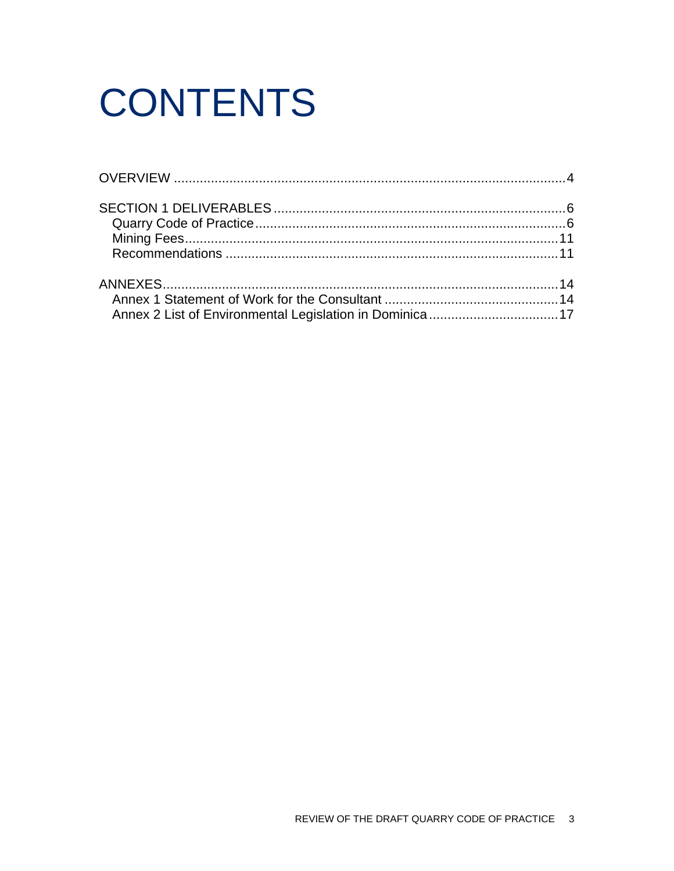# **CONTENTS**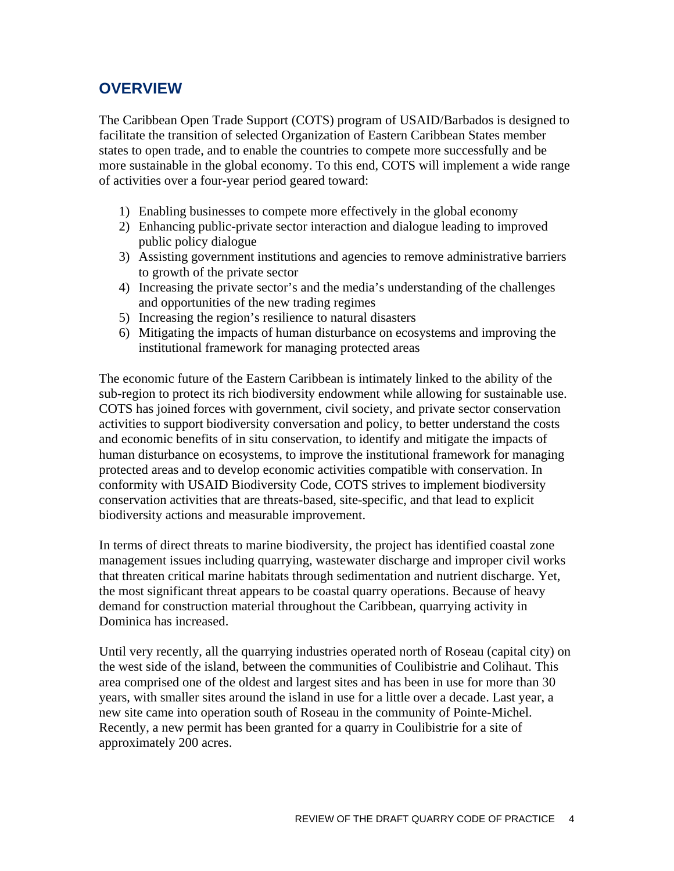## <span id="page-3-0"></span>**OVERVIEW**

The Caribbean Open Trade Support (COTS) program of USAID/Barbados is designed to facilitate the transition of selected Organization of Eastern Caribbean States member states to open trade, and to enable the countries to compete more successfully and be more sustainable in the global economy. To this end, COTS will implement a wide range of activities over a four-year period geared toward:

- 1) Enabling businesses to compete more effectively in the global economy
- 2) Enhancing public-private sector interaction and dialogue leading to improved public policy dialogue
- 3) Assisting government institutions and agencies to remove administrative barriers to growth of the private sector
- 4) Increasing the private sector's and the media's understanding of the challenges and opportunities of the new trading regimes
- 5) Increasing the region's resilience to natural disasters
- 6) Mitigating the impacts of human disturbance on ecosystems and improving the institutional framework for managing protected areas

The economic future of the Eastern Caribbean is intimately linked to the ability of the sub-region to protect its rich biodiversity endowment while allowing for sustainable use. COTS has joined forces with government, civil society, and private sector conservation activities to support biodiversity conversation and policy, to better understand the costs and economic benefits of in situ conservation, to identify and mitigate the impacts of human disturbance on ecosystems, to improve the institutional framework for managing protected areas and to develop economic activities compatible with conservation. In conformity with USAID Biodiversity Code, COTS strives to implement biodiversity conservation activities that are threats-based, site-specific, and that lead to explicit biodiversity actions and measurable improvement.

In terms of direct threats to marine biodiversity, the project has identified coastal zone management issues including quarrying, wastewater discharge and improper civil works that threaten critical marine habitats through sedimentation and nutrient discharge. Yet, the most significant threat appears to be coastal quarry operations. Because of heavy demand for construction material throughout the Caribbean, quarrying activity in Dominica has increased.

Until very recently, all the quarrying industries operated north of Roseau (capital city) on the west side of the island, between the communities of Coulibistrie and Colihaut. This area comprised one of the oldest and largest sites and has been in use for more than 30 years, with smaller sites around the island in use for a little over a decade. Last year, a new site came into operation south of Roseau in the community of Pointe-Michel. Recently, a new permit has been granted for a quarry in Coulibistrie for a site of approximately 200 acres.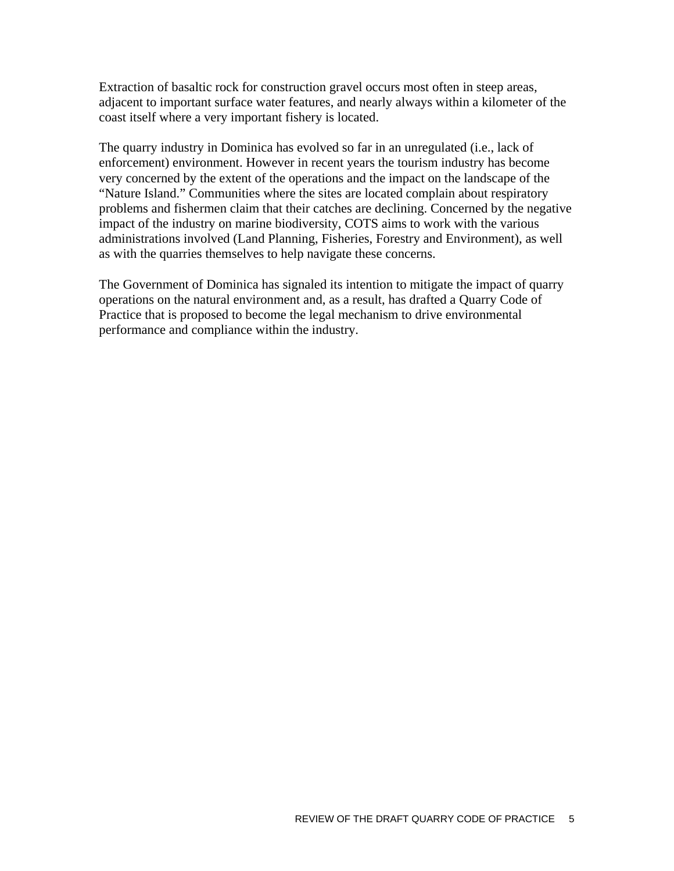Extraction of basaltic rock for construction gravel occurs most often in steep areas, adjacent to important surface water features, and nearly always within a kilometer of the coast itself where a very important fishery is located.

The quarry industry in Dominica has evolved so far in an unregulated (i.e., lack of enforcement) environment. However in recent years the tourism industry has become very concerned by the extent of the operations and the impact on the landscape of the "Nature Island." Communities where the sites are located complain about respiratory problems and fishermen claim that their catches are declining. Concerned by the negative impact of the industry on marine biodiversity, COTS aims to work with the various administrations involved (Land Planning, Fisheries, Forestry and Environment), as well as with the quarries themselves to help navigate these concerns.

The Government of Dominica has signaled its intention to mitigate the impact of quarry operations on the natural environment and, as a result, has drafted a Quarry Code of Practice that is proposed to become the legal mechanism to drive environmental performance and compliance within the industry.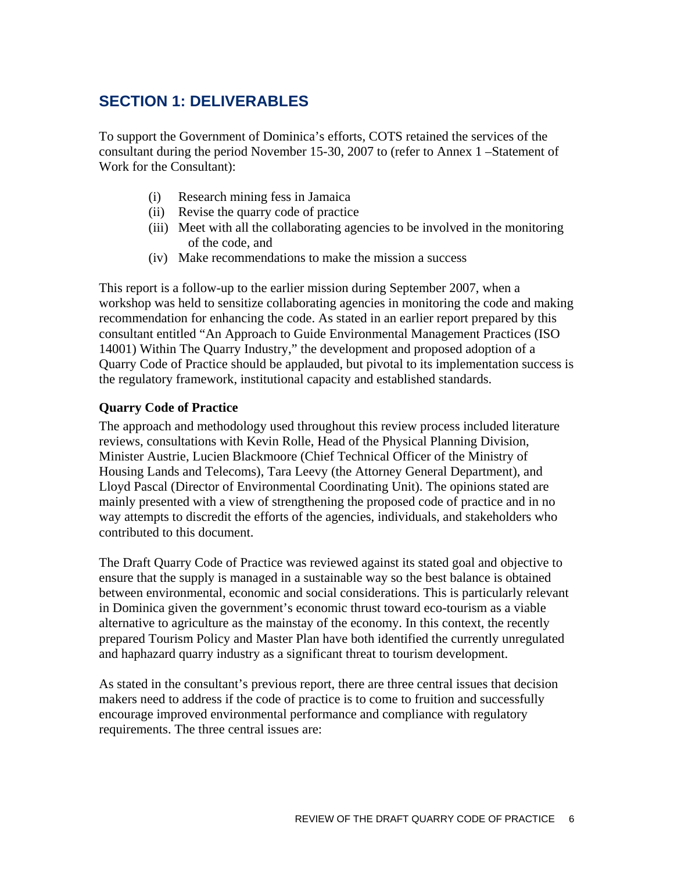## <span id="page-5-0"></span>**SECTION 1: DELIVERABLES**

To support the Government of Dominica's efforts, COTS retained the services of the consultant during the period November 15-30, 2007 to (refer to Annex 1 –Statement of Work for the Consultant):

- (i) Research mining fess in Jamaica
- (ii) Revise the quarry code of practice
- (iii) Meet with all the collaborating agencies to be involved in the monitoring of the code, and
- (iv) Make recommendations to make the mission a success

This report is a follow-up to the earlier mission during September 2007, when a workshop was held to sensitize collaborating agencies in monitoring the code and making recommendation for enhancing the code. As stated in an earlier report prepared by this consultant entitled "An Approach to Guide Environmental Management Practices (ISO 14001) Within The Quarry Industry," the development and proposed adoption of a Quarry Code of Practice should be applauded, but pivotal to its implementation success is the regulatory framework, institutional capacity and established standards.

## **Quarry Code of Practice**

The approach and methodology used throughout this review process included literature reviews, consultations with Kevin Rolle, Head of the Physical Planning Division, Minister Austrie, Lucien Blackmoore (Chief Technical Officer of the Ministry of Housing Lands and Telecoms), Tara Leevy (the Attorney General Department), and Lloyd Pascal (Director of Environmental Coordinating Unit). The opinions stated are mainly presented with a view of strengthening the proposed code of practice and in no way attempts to discredit the efforts of the agencies, individuals, and stakeholders who contributed to this document.

The Draft Quarry Code of Practice was reviewed against its stated goal and objective to ensure that the supply is managed in a sustainable way so the best balance is obtained between environmental, economic and social considerations. This is particularly relevant in Dominica given the government's economic thrust toward eco-tourism as a viable alternative to agriculture as the mainstay of the economy. In this context, the recently prepared Tourism Policy and Master Plan have both identified the currently unregulated and haphazard quarry industry as a significant threat to tourism development.

As stated in the consultant's previous report, there are three central issues that decision makers need to address if the code of practice is to come to fruition and successfully encourage improved environmental performance and compliance with regulatory requirements. The three central issues are: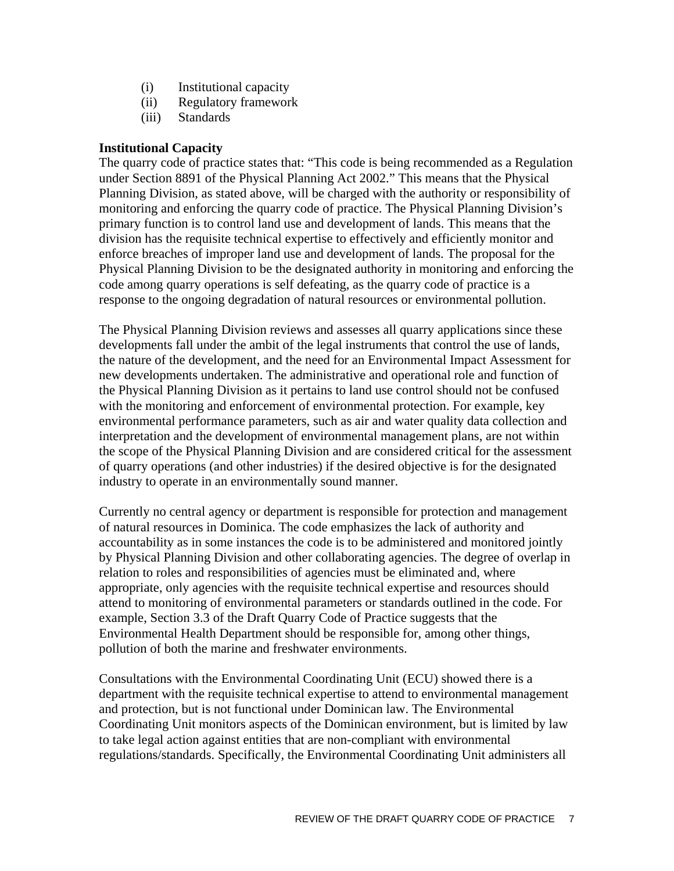- (i) Institutional capacity
- (ii) Regulatory framework
- (iii) Standards

#### **Institutional Capacity**

The quarry code of practice states that: "This code is being recommended as a Regulation under Section 8891 of the Physical Planning Act 2002." This means that the Physical Planning Division, as stated above, will be charged with the authority or responsibility of monitoring and enforcing the quarry code of practice. The Physical Planning Division's primary function is to control land use and development of lands. This means that the division has the requisite technical expertise to effectively and efficiently monitor and enforce breaches of improper land use and development of lands. The proposal for the Physical Planning Division to be the designated authority in monitoring and enforcing the code among quarry operations is self defeating, as the quarry code of practice is a response to the ongoing degradation of natural resources or environmental pollution.

The Physical Planning Division reviews and assesses all quarry applications since these developments fall under the ambit of the legal instruments that control the use of lands, the nature of the development, and the need for an Environmental Impact Assessment for new developments undertaken. The administrative and operational role and function of the Physical Planning Division as it pertains to land use control should not be confused with the monitoring and enforcement of environmental protection. For example, key environmental performance parameters, such as air and water quality data collection and interpretation and the development of environmental management plans, are not within the scope of the Physical Planning Division and are considered critical for the assessment of quarry operations (and other industries) if the desired objective is for the designated industry to operate in an environmentally sound manner.

Currently no central agency or department is responsible for protection and management of natural resources in Dominica. The code emphasizes the lack of authority and accountability as in some instances the code is to be administered and monitored jointly by Physical Planning Division and other collaborating agencies. The degree of overlap in relation to roles and responsibilities of agencies must be eliminated and, where appropriate, only agencies with the requisite technical expertise and resources should attend to monitoring of environmental parameters or standards outlined in the code. For example, Section 3.3 of the Draft Quarry Code of Practice suggests that the Environmental Health Department should be responsible for, among other things, pollution of both the marine and freshwater environments.

Consultations with the Environmental Coordinating Unit (ECU) showed there is a department with the requisite technical expertise to attend to environmental management and protection, but is not functional under Dominican law. The Environmental Coordinating Unit monitors aspects of the Dominican environment, but is limited by law to take legal action against entities that are non-compliant with environmental regulations/standards. Specifically, the Environmental Coordinating Unit administers all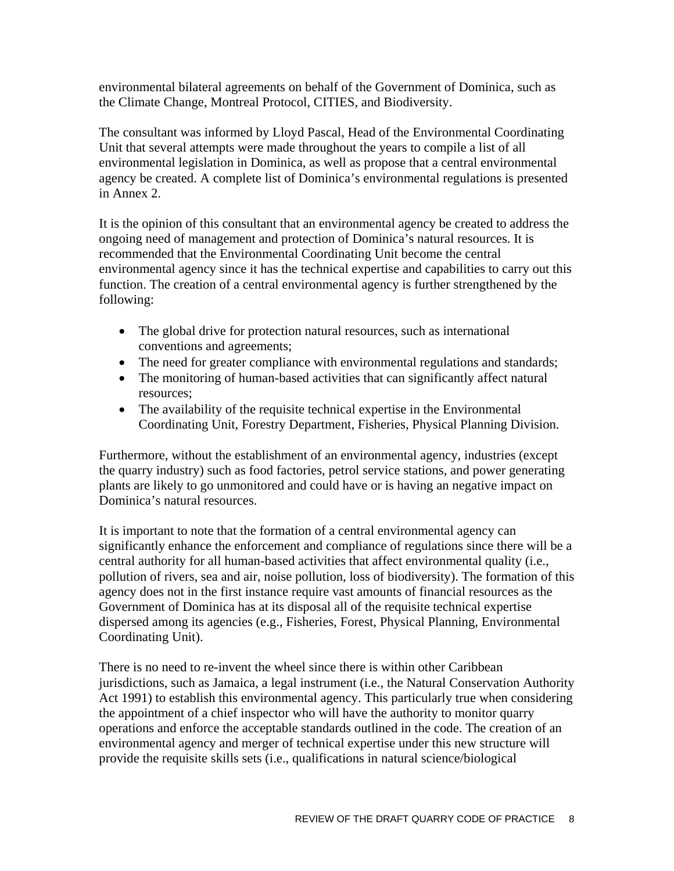environmental bilateral agreements on behalf of the Government of Dominica, such as the Climate Change, Montreal Protocol, CITIES, and Biodiversity.

The consultant was informed by Lloyd Pascal, Head of the Environmental Coordinating Unit that several attempts were made throughout the years to compile a list of all environmental legislation in Dominica, as well as propose that a central environmental agency be created. A complete list of Dominica's environmental regulations is presented in Annex 2.

It is the opinion of this consultant that an environmental agency be created to address the ongoing need of management and protection of Dominica's natural resources. It is recommended that the Environmental Coordinating Unit become the central environmental agency since it has the technical expertise and capabilities to carry out this function. The creation of a central environmental agency is further strengthened by the following:

- The global drive for protection natural resources, such as international conventions and agreements;
- The need for greater compliance with environmental regulations and standards;
- The monitoring of human-based activities that can significantly affect natural resources;
- The availability of the requisite technical expertise in the Environmental Coordinating Unit, Forestry Department, Fisheries, Physical Planning Division.

Furthermore, without the establishment of an environmental agency, industries (except the quarry industry) such as food factories, petrol service stations, and power generating plants are likely to go unmonitored and could have or is having an negative impact on Dominica's natural resources.

It is important to note that the formation of a central environmental agency can significantly enhance the enforcement and compliance of regulations since there will be a central authority for all human-based activities that affect environmental quality (i.e., pollution of rivers, sea and air, noise pollution, loss of biodiversity). The formation of this agency does not in the first instance require vast amounts of financial resources as the Government of Dominica has at its disposal all of the requisite technical expertise dispersed among its agencies (e.g., Fisheries, Forest, Physical Planning, Environmental Coordinating Unit).

There is no need to re-invent the wheel since there is within other Caribbean jurisdictions, such as Jamaica, a legal instrument (i.e., the Natural Conservation Authority Act 1991) to establish this environmental agency. This particularly true when considering the appointment of a chief inspector who will have the authority to monitor quarry operations and enforce the acceptable standards outlined in the code. The creation of an environmental agency and merger of technical expertise under this new structure will provide the requisite skills sets (i.e., qualifications in natural science/biological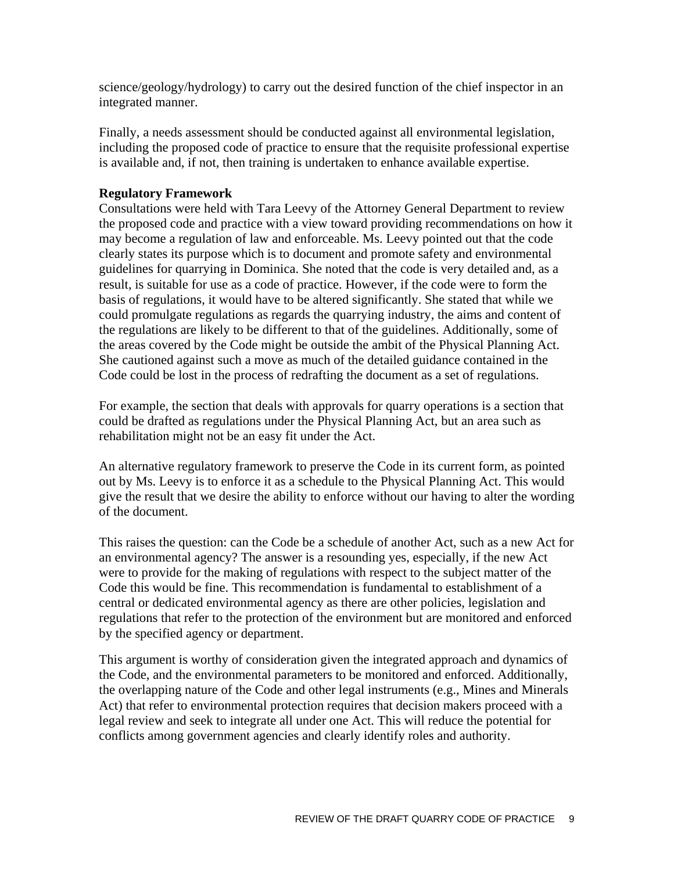science/geology/hydrology) to carry out the desired function of the chief inspector in an integrated manner.

Finally, a needs assessment should be conducted against all environmental legislation, including the proposed code of practice to ensure that the requisite professional expertise is available and, if not, then training is undertaken to enhance available expertise.

## **Regulatory Framework**

Consultations were held with Tara Leevy of the Attorney General Department to review the proposed code and practice with a view toward providing recommendations on how it may become a regulation of law and enforceable. Ms. Leevy pointed out that the code clearly states its purpose which is to document and promote safety and environmental guidelines for quarrying in Dominica. She noted that the code is very detailed and, as a result, is suitable for use as a code of practice. However, if the code were to form the basis of regulations, it would have to be altered significantly. She stated that while we could promulgate regulations as regards the quarrying industry, the aims and content of the regulations are likely to be different to that of the guidelines. Additionally, some of the areas covered by the Code might be outside the ambit of the Physical Planning Act. She cautioned against such a move as much of the detailed guidance contained in the Code could be lost in the process of redrafting the document as a set of regulations.

For example, the section that deals with approvals for quarry operations is a section that could be drafted as regulations under the Physical Planning Act, but an area such as rehabilitation might not be an easy fit under the Act.

An alternative regulatory framework to preserve the Code in its current form, as pointed out by Ms. Leevy is to enforce it as a schedule to the Physical Planning Act. This would give the result that we desire the ability to enforce without our having to alter the wording of the document.

This raises the question: can the Code be a schedule of another Act, such as a new Act for an environmental agency? The answer is a resounding yes, especially, if the new Act were to provide for the making of regulations with respect to the subject matter of the Code this would be fine. This recommendation is fundamental to establishment of a central or dedicated environmental agency as there are other policies, legislation and regulations that refer to the protection of the environment but are monitored and enforced by the specified agency or department.

This argument is worthy of consideration given the integrated approach and dynamics of the Code, and the environmental parameters to be monitored and enforced. Additionally, the overlapping nature of the Code and other legal instruments (e.g., Mines and Minerals Act) that refer to environmental protection requires that decision makers proceed with a legal review and seek to integrate all under one Act. This will reduce the potential for conflicts among government agencies and clearly identify roles and authority.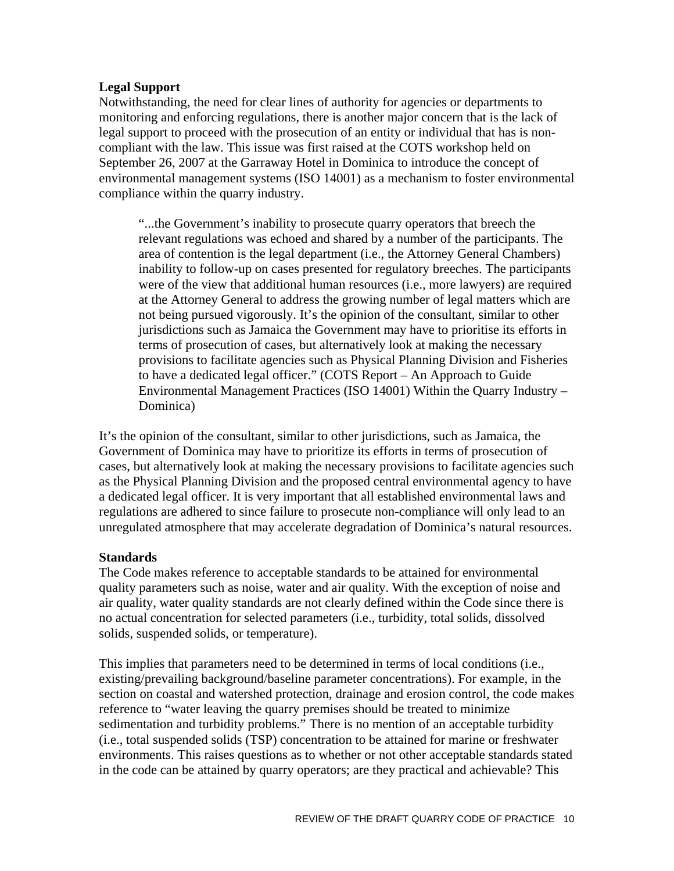### **Legal Support**

Notwithstanding, the need for clear lines of authority for agencies or departments to monitoring and enforcing regulations, there is another major concern that is the lack of legal support to proceed with the prosecution of an entity or individual that has is noncompliant with the law. This issue was first raised at the COTS workshop held on September 26, 2007 at the Garraway Hotel in Dominica to introduce the concept of environmental management systems (ISO 14001) as a mechanism to foster environmental compliance within the quarry industry.

"...the Government's inability to prosecute quarry operators that breech the relevant regulations was echoed and shared by a number of the participants. The area of contention is the legal department (i.e., the Attorney General Chambers) inability to follow-up on cases presented for regulatory breeches. The participants were of the view that additional human resources (i.e., more lawyers) are required at the Attorney General to address the growing number of legal matters which are not being pursued vigorously. It's the opinion of the consultant, similar to other jurisdictions such as Jamaica the Government may have to prioritise its efforts in terms of prosecution of cases, but alternatively look at making the necessary provisions to facilitate agencies such as Physical Planning Division and Fisheries to have a dedicated legal officer." (COTS Report – An Approach to Guide Environmental Management Practices (ISO 14001) Within the Quarry Industry – Dominica)

It's the opinion of the consultant, similar to other jurisdictions, such as Jamaica, the Government of Dominica may have to prioritize its efforts in terms of prosecution of cases, but alternatively look at making the necessary provisions to facilitate agencies such as the Physical Planning Division and the proposed central environmental agency to have a dedicated legal officer. It is very important that all established environmental laws and regulations are adhered to since failure to prosecute non-compliance will only lead to an unregulated atmosphere that may accelerate degradation of Dominica's natural resources.

#### **Standards**

The Code makes reference to acceptable standards to be attained for environmental quality parameters such as noise, water and air quality. With the exception of noise and air quality, water quality standards are not clearly defined within the Code since there is no actual concentration for selected parameters (i.e., turbidity, total solids, dissolved solids, suspended solids, or temperature).

This implies that parameters need to be determined in terms of local conditions (i.e., existing/prevailing background/baseline parameter concentrations). For example, in the section on coastal and watershed protection, drainage and erosion control, the code makes reference to "water leaving the quarry premises should be treated to minimize sedimentation and turbidity problems." There is no mention of an acceptable turbidity (i.e., total suspended solids (TSP) concentration to be attained for marine or freshwater environments. This raises questions as to whether or not other acceptable standards stated in the code can be attained by quarry operators; are they practical and achievable? This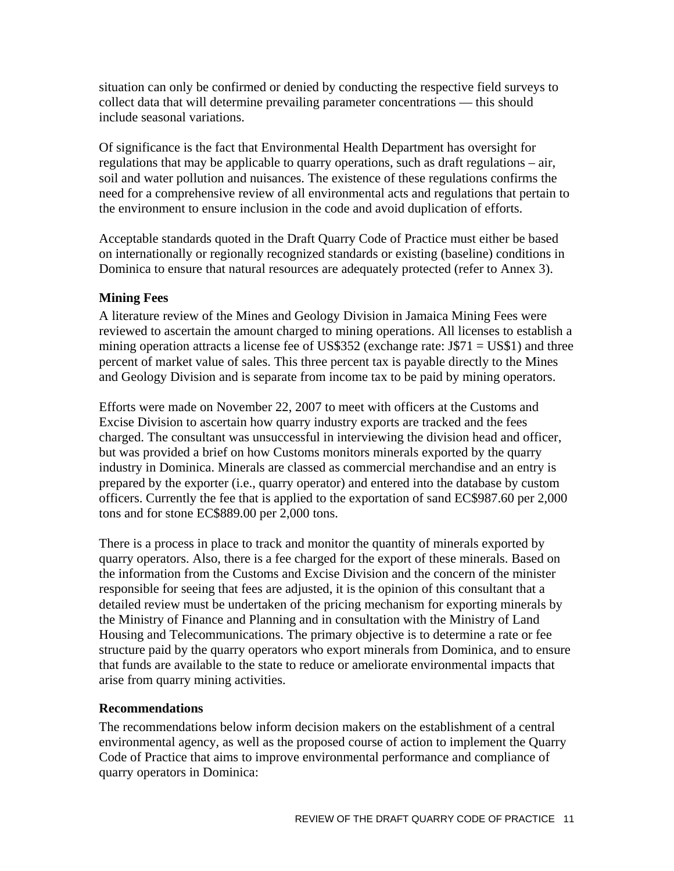<span id="page-10-0"></span>situation can only be confirmed or denied by conducting the respective field surveys to collect data that will determine prevailing parameter concentrations — this should include seasonal variations.

Of significance is the fact that Environmental Health Department has oversight for regulations that may be applicable to quarry operations, such as draft regulations – air, soil and water pollution and nuisances. The existence of these regulations confirms the need for a comprehensive review of all environmental acts and regulations that pertain to the environment to ensure inclusion in the code and avoid duplication of efforts.

Acceptable standards quoted in the Draft Quarry Code of Practice must either be based on internationally or regionally recognized standards or existing (baseline) conditions in Dominica to ensure that natural resources are adequately protected (refer to Annex 3).

## **Mining Fees**

A literature review of the Mines and Geology Division in Jamaica Mining Fees were reviewed to ascertain the amount charged to mining operations. All licenses to establish a mining operation attracts a license fee of US\$352 (exchange rate:  $J$71 = US$1$ ) and three percent of market value of sales. This three percent tax is payable directly to the Mines and Geology Division and is separate from income tax to be paid by mining operators.

Efforts were made on November 22, 2007 to meet with officers at the Customs and Excise Division to ascertain how quarry industry exports are tracked and the fees charged. The consultant was unsuccessful in interviewing the division head and officer, but was provided a brief on how Customs monitors minerals exported by the quarry industry in Dominica. Minerals are classed as commercial merchandise and an entry is prepared by the exporter (i.e., quarry operator) and entered into the database by custom officers. Currently the fee that is applied to the exportation of sand EC\$987.60 per 2,000 tons and for stone EC\$889.00 per 2,000 tons.

There is a process in place to track and monitor the quantity of minerals exported by quarry operators. Also, there is a fee charged for the export of these minerals. Based on the information from the Customs and Excise Division and the concern of the minister responsible for seeing that fees are adjusted, it is the opinion of this consultant that a detailed review must be undertaken of the pricing mechanism for exporting minerals by the Ministry of Finance and Planning and in consultation with the Ministry of Land Housing and Telecommunications. The primary objective is to determine a rate or fee structure paid by the quarry operators who export minerals from Dominica, and to ensure that funds are available to the state to reduce or ameliorate environmental impacts that arise from quarry mining activities.

#### **Recommendations**

The recommendations below inform decision makers on the establishment of a central environmental agency, as well as the proposed course of action to implement the Quarry Code of Practice that aims to improve environmental performance and compliance of quarry operators in Dominica: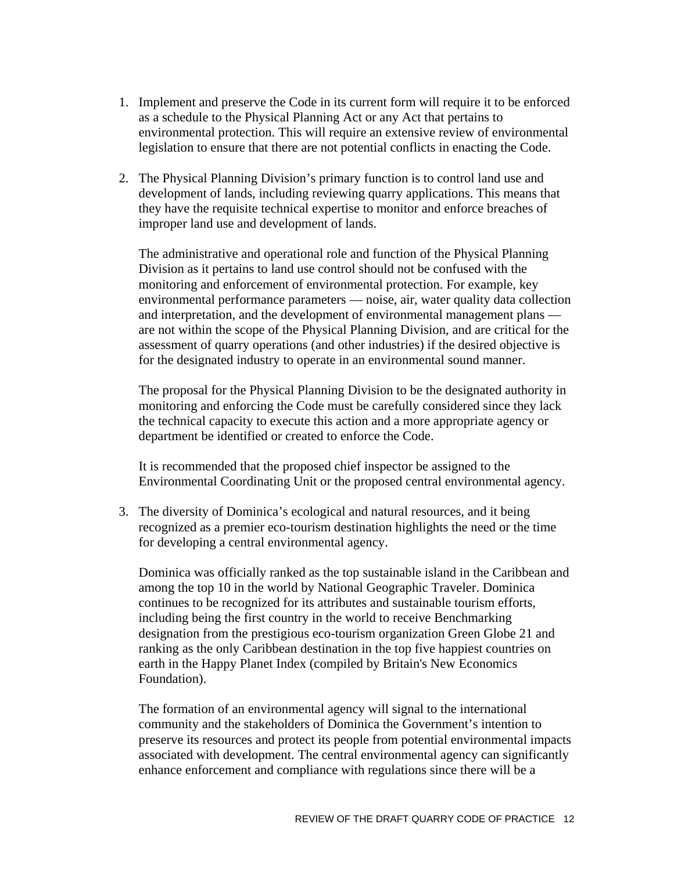- 1. Implement and preserve the Code in its current form will require it to be enforced as a schedule to the Physical Planning Act or any Act that pertains to environmental protection. This will require an extensive review of environmental legislation to ensure that there are not potential conflicts in enacting the Code.
- 2. The Physical Planning Division's primary function is to control land use and development of lands, including reviewing quarry applications. This means that they have the requisite technical expertise to monitor and enforce breaches of improper land use and development of lands.

The administrative and operational role and function of the Physical Planning Division as it pertains to land use control should not be confused with the monitoring and enforcement of environmental protection. For example, key environmental performance parameters — noise, air, water quality data collection and interpretation, and the development of environmental management plans are not within the scope of the Physical Planning Division, and are critical for the assessment of quarry operations (and other industries) if the desired objective is for the designated industry to operate in an environmental sound manner.

The proposal for the Physical Planning Division to be the designated authority in monitoring and enforcing the Code must be carefully considered since they lack the technical capacity to execute this action and a more appropriate agency or department be identified or created to enforce the Code.

It is recommended that the proposed chief inspector be assigned to the Environmental Coordinating Unit or the proposed central environmental agency.

3. The diversity of Dominica's ecological and natural resources, and it being recognized as a premier eco-tourism destination highlights the need or the time for developing a central environmental agency.

Dominica was officially ranked as the top sustainable island in the Caribbean and among the top 10 in the world by National Geographic Traveler. Dominica continues to be recognized for its attributes and sustainable tourism efforts, including being the first country in the world to receive Benchmarking designation from the prestigious eco-tourism organization Green Globe 21 and ranking as the only Caribbean destination in the top five happiest countries on earth in the Happy Planet Index (compiled by Britain's New Economics Foundation).

The formation of an environmental agency will signal to the international community and the stakeholders of Dominica the Government's intention to preserve its resources and protect its people from potential environmental impacts associated with development. The central environmental agency can significantly enhance enforcement and compliance with regulations since there will be a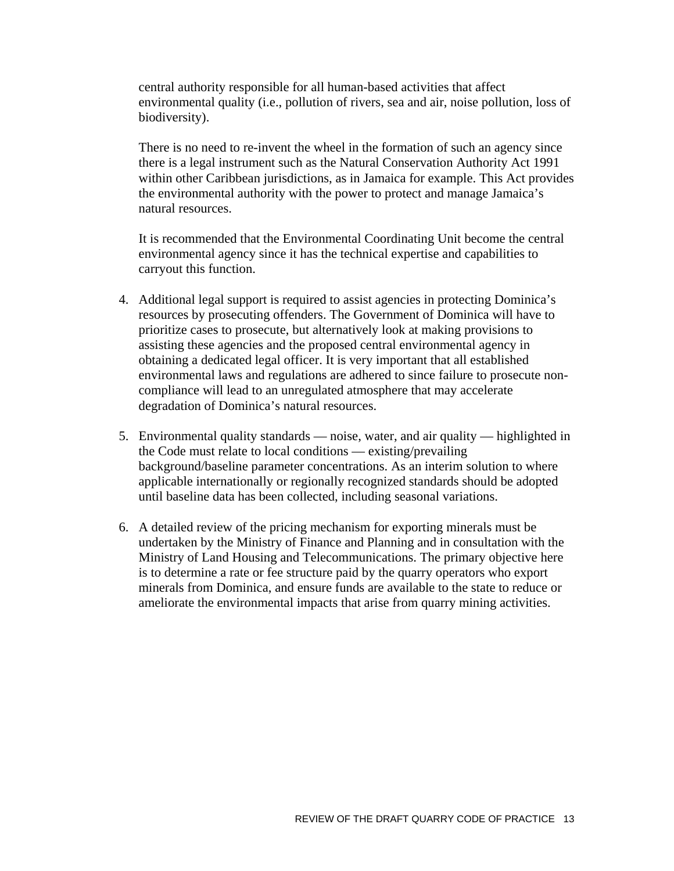central authority responsible for all human-based activities that affect environmental quality (i.e., pollution of rivers, sea and air, noise pollution, loss of biodiversity).

There is no need to re-invent the wheel in the formation of such an agency since there is a legal instrument such as the Natural Conservation Authority Act 1991 within other Caribbean jurisdictions, as in Jamaica for example. This Act provides the environmental authority with the power to protect and manage Jamaica's natural resources.

It is recommended that the Environmental Coordinating Unit become the central environmental agency since it has the technical expertise and capabilities to carryout this function.

- 4. Additional legal support is required to assist agencies in protecting Dominica's resources by prosecuting offenders. The Government of Dominica will have to prioritize cases to prosecute, but alternatively look at making provisions to assisting these agencies and the proposed central environmental agency in obtaining a dedicated legal officer. It is very important that all established environmental laws and regulations are adhered to since failure to prosecute noncompliance will lead to an unregulated atmosphere that may accelerate degradation of Dominica's natural resources.
- 5. Environmental quality standards noise, water, and air quality highlighted in the Code must relate to local conditions — existing/prevailing background/baseline parameter concentrations. As an interim solution to where applicable internationally or regionally recognized standards should be adopted until baseline data has been collected, including seasonal variations.
- 6. A detailed review of the pricing mechanism for exporting minerals must be undertaken by the Ministry of Finance and Planning and in consultation with the Ministry of Land Housing and Telecommunications. The primary objective here is to determine a rate or fee structure paid by the quarry operators who export minerals from Dominica, and ensure funds are available to the state to reduce or ameliorate the environmental impacts that arise from quarry mining activities.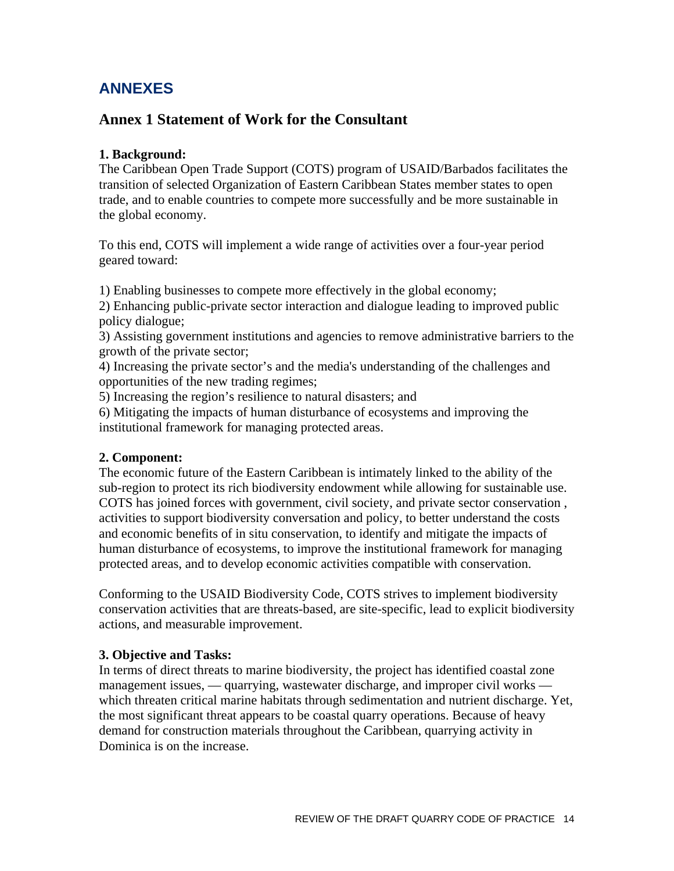## <span id="page-13-0"></span>**ANNEXES**

## **Annex 1 Statement of Work for the Consultant**

## **1. Background:**

The Caribbean Open Trade Support (COTS) program of USAID/Barbados facilitates the transition of selected Organization of Eastern Caribbean States member states to open trade, and to enable countries to compete more successfully and be more sustainable in the global economy.

To this end, COTS will implement a wide range of activities over a four-year period geared toward:

1) Enabling businesses to compete more effectively in the global economy;

2) Enhancing public-private sector interaction and dialogue leading to improved public policy dialogue;

3) Assisting government institutions and agencies to remove administrative barriers to the growth of the private sector;

4) Increasing the private sector's and the media's understanding of the challenges and opportunities of the new trading regimes;

5) Increasing the region's resilience to natural disasters; and

6) Mitigating the impacts of human disturbance of ecosystems and improving the institutional framework for managing protected areas.

## **2. Component:**

The economic future of the Eastern Caribbean is intimately linked to the ability of the sub-region to protect its rich biodiversity endowment while allowing for sustainable use. COTS has joined forces with government, civil society, and private sector conservation , activities to support biodiversity conversation and policy, to better understand the costs and economic benefits of in situ conservation, to identify and mitigate the impacts of human disturbance of ecosystems, to improve the institutional framework for managing protected areas, and to develop economic activities compatible with conservation.

Conforming to the USAID Biodiversity Code, COTS strives to implement biodiversity conservation activities that are threats-based, are site-specific, lead to explicit biodiversity actions, and measurable improvement.

## **3. Objective and Tasks:**

In terms of direct threats to marine biodiversity, the project has identified coastal zone management issues, — quarrying, wastewater discharge, and improper civil works which threaten critical marine habitats through sedimentation and nutrient discharge. Yet, the most significant threat appears to be coastal quarry operations. Because of heavy demand for construction materials throughout the Caribbean, quarrying activity in Dominica is on the increase.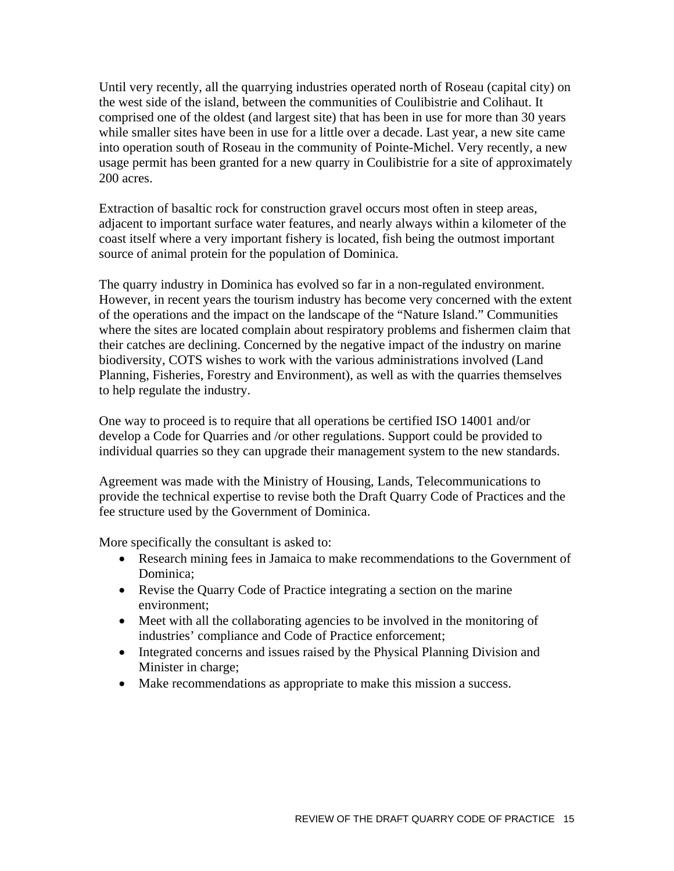Until very recently, all the quarrying industries operated north of Roseau (capital city) on the west side of the island, between the communities of Coulibistrie and Colihaut. It comprised one of the oldest (and largest site) that has been in use for more than 30 years while smaller sites have been in use for a little over a decade. Last year, a new site came into operation south of Roseau in the community of Pointe-Michel. Very recently, a new usage permit has been granted for a new quarry in Coulibistrie for a site of approximately 200 acres.

Extraction of basaltic rock for construction gravel occurs most often in steep areas, adjacent to important surface water features, and nearly always within a kilometer of the coast itself where a very important fishery is located, fish being the outmost important source of animal protein for the population of Dominica.

The quarry industry in Dominica has evolved so far in a non-regulated environment. However, in recent years the tourism industry has become very concerned with the extent of the operations and the impact on the landscape of the "Nature Island." Communities where the sites are located complain about respiratory problems and fishermen claim that their catches are declining. Concerned by the negative impact of the industry on marine biodiversity, COTS wishes to work with the various administrations involved (Land Planning, Fisheries, Forestry and Environment), as well as with the quarries themselves to help regulate the industry.

One way to proceed is to require that all operations be certified ISO 14001 and/or develop a Code for Quarries and /or other regulations. Support could be provided to individual quarries so they can upgrade their management system to the new standards.

Agreement was made with the Ministry of Housing, Lands, Telecommunications to provide the technical expertise to revise both the Draft Quarry Code of Practices and the fee structure used by the Government of Dominica.

More specifically the consultant is asked to:

- Research mining fees in Jamaica to make recommendations to the Government of Dominica;
- Revise the Quarry Code of Practice integrating a section on the marine environment;
- Meet with all the collaborating agencies to be involved in the monitoring of industries' compliance and Code of Practice enforcement;
- Integrated concerns and issues raised by the Physical Planning Division and Minister in charge;
- Make recommendations as appropriate to make this mission a success.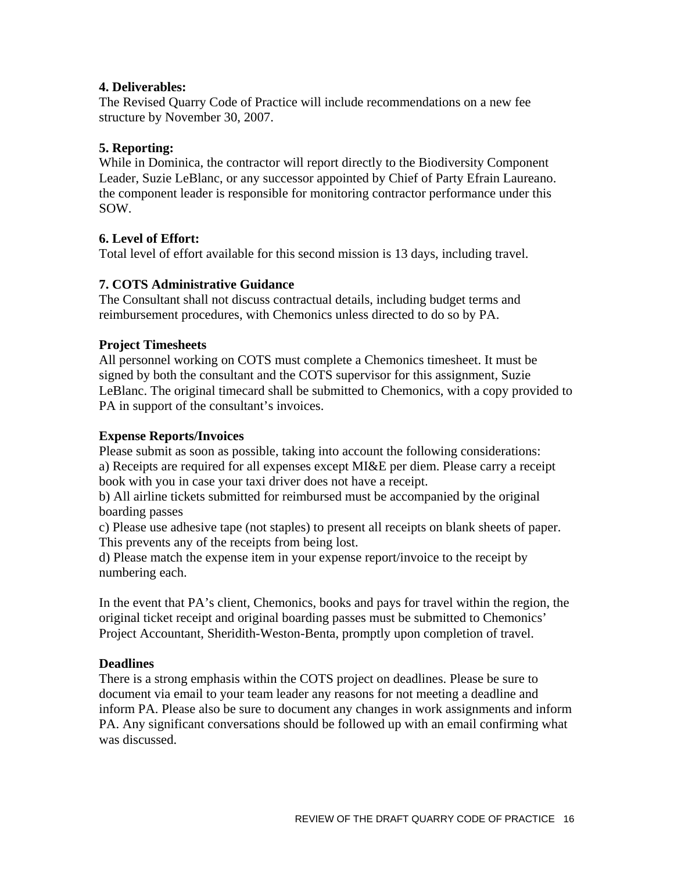## **4. Deliverables:**

The Revised Quarry Code of Practice will include recommendations on a new fee structure by November 30, 2007.

## **5. Reporting:**

While in Dominica, the contractor will report directly to the Biodiversity Component Leader, Suzie LeBlanc, or any successor appointed by Chief of Party Efrain Laureano. the component leader is responsible for monitoring contractor performance under this SOW.

## **6. Level of Effort:**

Total level of effort available for this second mission is 13 days, including travel.

## **7. COTS Administrative Guidance**

The Consultant shall not discuss contractual details, including budget terms and reimbursement procedures, with Chemonics unless directed to do so by PA.

## **Project Timesheets**

All personnel working on COTS must complete a Chemonics timesheet. It must be signed by both the consultant and the COTS supervisor for this assignment, Suzie LeBlanc. The original timecard shall be submitted to Chemonics, with a copy provided to PA in support of the consultant's invoices.

#### **Expense Reports/Invoices**

Please submit as soon as possible, taking into account the following considerations: a) Receipts are required for all expenses except MI&E per diem. Please carry a receipt book with you in case your taxi driver does not have a receipt.

b) All airline tickets submitted for reimbursed must be accompanied by the original boarding passes

c) Please use adhesive tape (not staples) to present all receipts on blank sheets of paper. This prevents any of the receipts from being lost.

d) Please match the expense item in your expense report/invoice to the receipt by numbering each.

In the event that PA's client, Chemonics, books and pays for travel within the region, the original ticket receipt and original boarding passes must be submitted to Chemonics' Project Accountant, Sheridith-Weston-Benta, promptly upon completion of travel.

#### **Deadlines**

There is a strong emphasis within the COTS project on deadlines. Please be sure to document via email to your team leader any reasons for not meeting a deadline and inform PA. Please also be sure to document any changes in work assignments and inform PA. Any significant conversations should be followed up with an email confirming what was discussed.